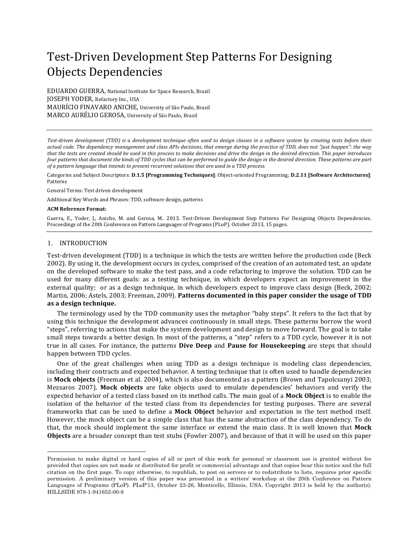# Test-Driven Development Step Patterns For Designing Objects Dependencies

EDUARDO GUERRA, National Institute for Space Research, Brazil **JOSEPH YODER**, Refactory Inc., USA MAURÍCIO FINAVARO ANICHE, University of São Paulo, Brazil MARCO AURÉLIO GEROSA, University of São Paulo, Brazil

Test-driven development (TDD) is a development technique often used to design classes in a software system by creating tests before their actual code. The dependency management and class APIs decisions, that emerge during the practice of TDD, does not "just happen": the way that the tests are created should be used in this process to make decisions and drive the design in the desired direction. This paper introduces *four* patterns that document the kinds of TDD cycles that can be performed to guide the design in the desired direction. These patterns are part of a pattern language that intends to present recurrent solutions that are used in a TDD process.

Categories and Subject Descriptors: D.1.5 [Programming Techniques]: Object-oriented Programming; D.2.11 [Software Architectures]: Patterns

General Terms: Test driven development

Additional Key Words and Phrases: TDD, software design, patterns

#### **ACM Reference Format:**

Guerra, E., Yoder, J., Aniche, M. and Gerosa, M.. 2013. Test-Driven Development Step Patterns For Designing Objects Dependencies. Proceedings of the 20th Conference on Pattern Languages of Programs (PLoP). October 2013, 15 pages.

#### 1. INTRODUCTION

Test-driven development (TDD) is a technique in which the tests are written before the production code (Beck 2002). By using it, the development occurs in cycles, comprised of the creation of an automated test, an update on the developed software to make the test pass, and a code refactoring to improve the solution. TDD can be used for many different goals: as a testing technique, in which developers expect an improvement in the external quality; or as a design technique, in which developers expect to improve class design (Beck, 2002; Martin, 2006; Astels, 2003; Freeman, 2009). **Patterns documented in this paper consider the usage of TDD** as a design technique.

The terminology used by the TDD community uses the metaphor "baby steps". It refers to the fact that by using this technique the development advances continuously in small steps. These patterns borrow the word "steps", referring to actions that make the system development and design to move forward. The goal is to take small steps towards a better design. In most of the patterns, a "step" refers to a TDD cycle, however it is not true in all cases. For instance, the patterns Dive Deep and Pause for Housekeeping are steps that should happen between TDD cycles.

One of the great challenges when using TDD as a design technique is modeling class dependencies, including their contracts and expected behavior. A testing technique that is often used to handle dependencies is **Mock objects** (Freeman et al. 2004), which is also documented as a pattern (Brown and Tapolcsanyi 2003; Mezsaros 2007). Mock objects are fake objects used to emulate dependencies' behaviors and verify the expected behavior of a tested class based on its method calls. The main goal of a Mock Object is to enable the isolation of the behavior of the tested class from its dependencies for testing purposes. There are several frameworks that can be used to define a **Mock Object** behavior and expectation in the test method itself. However, the mock object can be a simple class that has the same abstraction of the class dependency. To do that, the mock should implement the same interface or extend the main class. It is well known that Mock **Objects** are a broader concept than test stubs (Fowler 2007), and because of that it will be used on this paper

Permission to make digital or hard copies of all or part of this work for personal or classroom use is granted without fee provided that copies are not made or distributed for profit or commercial advantage and that copies bear this notice and the full citation on the first page. To copy otherwise, to republish, to post on servers or to redistribute to lists, requires prior specific permission. A preliminary version of this paper was presented in a writers' workshop at the 20th Conference on Pattern Languages of Programs (PLoP). PLoP'13, October 23-26, Monticello, Illinois, USA. Copyright 2013 is held by the author(s). HILLSIDE 978-1-941652-00-8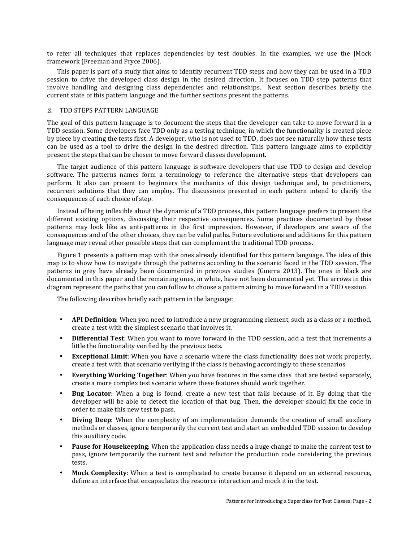to refer all techniques that replaces dependencies by test doubles. In the examples, we use the JMock framework (Freeman and Pryce 2006).

This paper is part of a study that aims to identify recurrent TDD steps and how they can be used in a TDD session to drive the developed class design in the desired direction. It focuses on TDD step patterns that involve handling and designing class dependencies and relationships. Next section describes briefly the current state of this pattern language and the further sections present the patterns.

### 2. TDD STEPS PATTERN LANGUAGE

The goal of this pattern language is to document the steps that the developer can take to move forward in a TDD session. Some developers face TDD only as a testing technique, in which the functionality is created piece by piece by creating the tests first. A developer, who is not used to TDD, does not see naturally how these tests can be used as a tool to drive the design in the desired direction. This pattern language aims to explicitly present the steps that can be chosen to move forward classes development.

The target audience of this pattern language is software developers that use TDD to design and develop software. The patterns names form a terminology to reference the alternative steps that developers can perform. It also can present to beginners the mechanics of this design technique and, to practitioners, recurrent solutions that they can employ. The discussions presented in each pattern intend to clarify the consequences of each choice of step.

Instead of being inflexible about the dynamic of a TDD process, this pattern language prefers to present the different existing options, discussing their respective consequences. Some practices documented by these patterns may look like as anti-patterns in the first impression. However, if developers are aware of the consequences and of the other choices, they can be valid paths. Future evolutions and additions for this pattern language may reveal other possible steps that can complement the traditional TDD process.

Figure 1 presents a pattern map with the ones already identified for this pattern language. The idea of this map is to show how to navigate through the patterns according to the scenario faced in the TDD session. The patterns in grey have already been documented in previous studies (Guerra 2013). The ones in black are documented in this paper and the remaining ones, in white, have not been documented yet. The arrows in this diagram represent the paths that you can follow to choose a pattern aiming to move forward in a TDD session.

The following describes briefly each pattern in the language:

- **API Definition**: When you need to introduce a new programming element, such as a class or a method, create a test with the simplest scenario that involves it.
- **Differential Test**: When you want to move forward in the TDD session, add a test that increments a little the functionality verified by the previous tests.
- **Exceptional Limit:** When you have a scenario where the class functionality does not work properly, create a test with that scenario verifying if the class is behaving accordingly to these scenarios.
- **Everything Working Together:** When you have features in the same class that are tested separately, create a more complex test scenario where these features should work together.
- **Bug Locator**: When a bug is found, create a new test that fails because of it. By doing that the developer will be able to detect the location of that bug. Then, the developer should fix the code in order to make this new test to pass.
- **Diving Deep**: When the complexity of an implementation demands the creation of small auxiliary methods or classes, ignore temporarily the current test and start an embedded TDD session to develop this auxiliary code.
- **Pause for Housekeeping**: When the application class needs a huge change to make the current test to pass, ignore temporarily the current test and refactor the production code considering the previous tests.
- **Mock Complexity**: When a test is complicated to create because it depend on an external resource, define an interface that encapsulates the resource interaction and mock it in the test.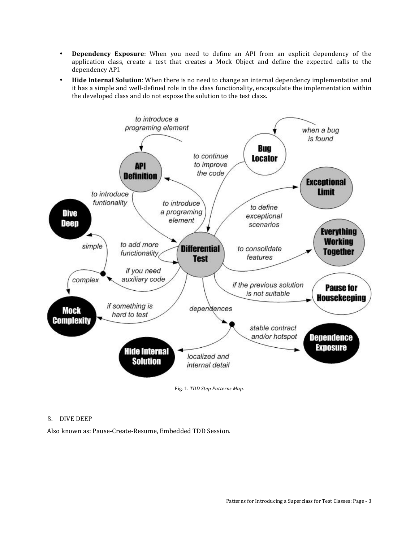- **Dependency Exposure**: When you need to define an API from an explicit dependency of the application class, create a test that creates a Mock Object and define the expected calls to the dependency API.
- **Hide Internal Solution**: When there is no need to change an internal dependency implementation and it has a simple and well-defined role in the class functionality, encapsulate the implementation within the developed class and do not expose the solution to the test class.



# 3. DIVE DEEP

Also known as: Pause-Create-Resume, Embedded TDD Session.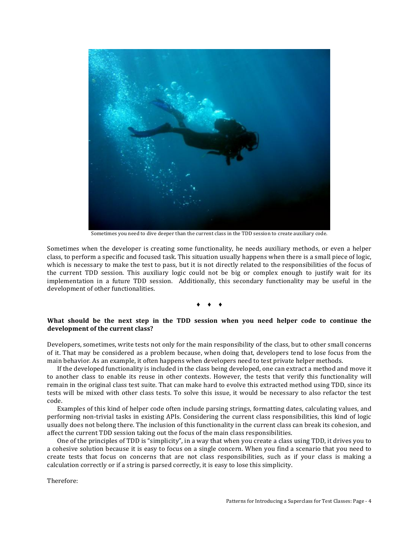

Sometimes you need to dive deeper than the current class in the TDD session to create auxiliary code.

Sometimes when the developer is creating some functionality, he needs auxiliary methods, or even a helper class, to perform a specific and focused task. This situation usually happens when there is a small piece of logic, which is necessary to make the test to pass, but it is not directly related to the responsibilities of the focus of the current TDD session. This auxiliary logic could not be big or complex enough to justify wait for its implementation in a future TDD session. Additionally, this secondary functionality may be useful in the development of other functionalities.

#### $\bullet$   $\bullet$   $\bullet$   $\bullet$

# What should be the next step in the TDD session when you need helper code to continue the development of the current class?

Developers, sometimes, write tests not only for the main responsibility of the class, but to other small concerns of it. That may be considered as a problem because, when doing that, developers tend to lose focus from the main behavior. As an example, it often happens when developers need to test private helper methods.

If the developed functionality is included in the class being developed, one can extract a method and move it to another class to enable its reuse in other contexts. However, the tests that verify this functionality will remain in the original class test suite. That can make hard to evolve this extracted method using TDD, since its tests will be mixed with other class tests. To solve this issue, it would be necessary to also refactor the test code.

Examples of this kind of helper code often include parsing strings, formatting dates, calculating values, and performing non-trivial tasks in existing APIs. Considering the current class responsibilities, this kind of logic usually does not belong there. The inclusion of this functionality in the current class can break its cohesion, and affect the current TDD session taking out the focus of the main class responsibilities.

One of the principles of TDD is "simplicity", in a way that when you create a class using TDD, it drives you to a cohesive solution because it is easy to focus on a single concern. When you find a scenario that you need to create tests that focus on concerns that are not class responsibilities, such as if your class is making a calculation correctly or if a string is parsed correctly, it is easy to lose this simplicity.

Therefore: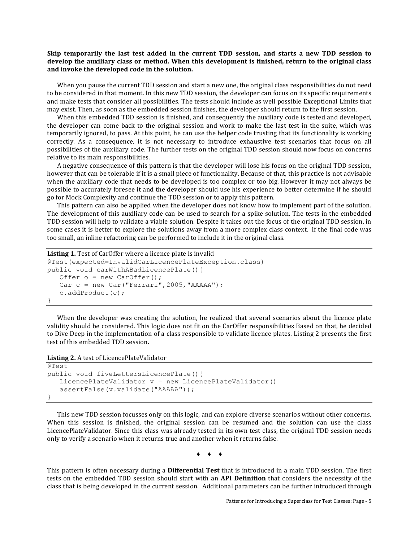# Skip temporarily the last test added in the current TDD session, and starts a new TDD session to develop the auxiliary class or method. When this development is finished, return to the original class and invoke the developed code in the solution.

When you pause the current TDD session and start a new one, the original class responsibilities do not need to be considered in that moment. In this new TDD session, the developer can focus on its specific requirements and make tests that consider all possibilities. The tests should include as well possible Exceptional Limits that may exist. Then, as soon as the embedded session finishes, the developer should return to the first session.

When this embedded TDD session is finished, and consequently the auxiliary code is tested and developed, the developer can come back to the original session and work to make the last test in the suite, which was temporarily ignored, to pass. At this point, he can use the helper code trusting that its functionality is working correctly. As a consequence, it is not necessary to introduce exhaustive test scenarios that focus on all possibilities of the auxiliary code. The further tests on the original TDD session should now focus on concerns relative to its main responsibilities.

A negative consequence of this pattern is that the developer will lose his focus on the original TDD session, however that can be tolerable if it is a small piece of functionality. Because of that, this practice is not advisable when the auxiliary code that needs to be developed is too complex or too big. However it may not always be possible to accurately foresee it and the developer should use his experience to better determine if he should go for Mock Complexity and continue the TDD session or to apply this pattern.

This pattern can also be applied when the developer does not know how to implement part of the solution. The development of this auxiliary code can be used to search for a spike solution. The tests in the embedded TDD session will help to validate a viable solution. Despite it takes out the focus of the original TDD session, in some cases it is better to explore the solutions away from a more complex class context. If the final code was too small, an inline refactoring can be performed to include it in the original class.

```
Listing 1. Test of CarOffer where a licence plate is invalid
```

```
@Test(expected=InvalidCarLicencePlateException.class)
public void carWithABadLicencePlate(){
   Offer o = new CarOffer();
   Car c = new Car("Ferrari", 2005, "AAAAA");
    o.addProduct(c);
}
```
When the developer was creating the solution, he realized that several scenarios about the licence plate validity should be considered. This logic does not fit on the CarOffer responsibilities Based on that, he decided to Dive Deep in the implementation of a class responsible to validate licence plates. Listing 2 presents the first test of this embedded TDD session.

| <b>Listing 2.</b> A test of Licence Plate Validator     |
|---------------------------------------------------------|
| @Test                                                   |
| public void fiveLettersLicencePlate(){                  |
| LicencePlateValidator $v = new$ LicencePlateValidator() |
| assertFalse(v.validate("AAAAA"));                       |
|                                                         |

This new TDD session focusses only on this logic, and can explore diverse scenarios without other concerns. When this session is finished, the original session can be resumed and the solution can use the class LicencePlateValidator. Since this class was already tested in its own test class, the original TDD session needs only to verify a scenario when it returns true and another when it returns false.

 $\bullet$   $\bullet$   $\bullet$   $\bullet$ 

This pattern is often necessary during a **Differential Test** that is introduced in a main TDD session. The first tests on the embedded TDD session should start with an **API Definition** that considers the necessity of the class that is being developed in the current session. Additional parameters can be further introduced through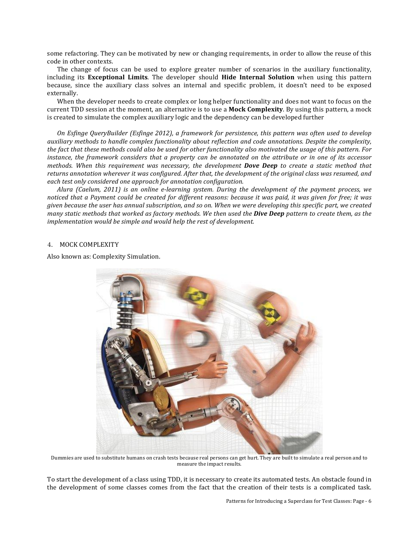some refactoring. They can be motivated by new or changing requirements, in order to allow the reuse of this code in other contexts.

The change of focus can be used to explore greater number of scenarios in the auxiliary functionality, including its **Exceptional Limits**. The developer should **Hide Internal Solution** when using this pattern because, since the auxiliary class solves an internal and specific problem, it doesn't need to be exposed externally.

When the developer needs to create complex or long helper functionality and does not want to focus on the current TDD session at the moment, an alternative is to use a **Mock Complexity**. By using this pattern, a mock is created to simulate the complex auxiliary logic and the dependency can be developed further

*On* Esfinge QueryBuilder (Esfinge 2012), a framework for persistence, this pattern was often used to develop *auxiliary* methods to handle complex functionality about reflection and code annotations. Despite the complexity, the fact that these methods could also be used for other functionality also motivated the usage of this pattern. For *instance, the framework considers that a property can be annotated on the attribute or in one of its accessor methods.* When this requirement was necessary, the development **Dove Deep** to create a static method that returns annotation wherever it was configured. After that, the development of the original class was resumed, and each test only considered one approach for annotation configuration.

*Alura* (Caelum, 2011) is an online e-learning system. During the development of the payment process, we *noticed* that a Payment could be created for different reasons: because it was paid, it was given for free; it was *given* because the user has annual subscription, and so on. When we were developing this specific part, we created *many* static methods that worked as factory methods. We then used the **Dive Deep** pattern to create them, as the implementation would be simple and would help the rest of development.

## 4. MOCK COMPLEXITY

Also known as: Complexity Simulation.



Dummies are used to substitute humans on crash tests because real persons can get hurt. They are built to simulate a real person and to measure the impact results.

To start the development of a class using TDD, it is necessary to create its automated tests. An obstacle found in the development of some classes comes from the fact that the creation of their tests is a complicated task.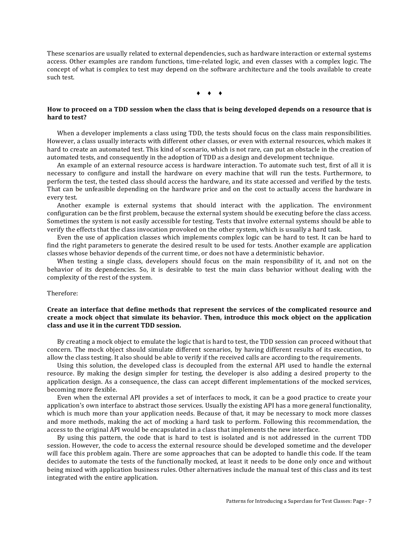These scenarios are usually related to external dependencies, such as hardware interaction or external systems access. Other examples are random functions, time-related logic, and even classes with a complex logic. The concept of what is complex to test may depend on the software architecture and the tools available to create such test.

 $\rightarrow$   $\rightarrow$   $\rightarrow$ 

# How to proceed on a TDD session when the class that is being developed depends on a resource that is hard to test?

When a developer implements a class using TDD, the tests should focus on the class main responsibilities. However, a class usually interacts with different other classes, or even with external resources, which makes it hard to create an automated test. This kind of scenario, which is not rare, can put an obstacle in the creation of automated tests, and consequently in the adoption of TDD as a design and development technique.

An example of an external resource access is hardware interaction. To automate such test, first of all it is necessary to configure and install the hardware on every machine that will run the tests. Furthermore, to perform the test, the tested class should access the hardware, and its state accessed and verified by the tests. That can be unfeasible depending on the hardware price and on the cost to actually access the hardware in every test.

Another example is external systems that should interact with the application. The environment configuration can be the first problem, because the external system should be executing before the class access. Sometimes the system is not easily accessible for testing. Tests that involve external systems should be able to verify the effects that the class invocation provoked on the other system, which is usually a hard task.

Even the use of application classes which implements complex logic can be hard to test. It can be hard to find the right parameters to generate the desired result to be used for tests. Another example are application classes whose behavior depends of the current time, or does not have a deterministic behavior.

When testing a single class, developers should focus on the main responsibility of it, and not on the behavior of its dependencies. So, it is desirable to test the main class behavior without dealing with the complexity of the rest of the system.

#### Therefore:

# Create an interface that define methods that represent the services of the complicated resource and create a mock object that simulate its behavior. Then, introduce this mock object on the application class and use it in the current TDD session.

By creating a mock object to emulate the logic that is hard to test, the TDD session can proceed without that concern. The mock object should simulate different scenarios, by having different results of its execution, to allow the class testing. It also should be able to verify if the received calls are according to the requirements.

Using this solution, the developed class is decoupled from the external API used to handle the external resource. By making the design simpler for testing, the developer is also adding a desired property to the application design. As a consequence, the class can accept different implementations of the mocked services, becoming more flexible.

Even when the external API provides a set of interfaces to mock, it can be a good practice to create your application's own interface to abstract those services. Usually the existing API has a more general functionality, which is much more than your application needs. Because of that, it may be necessary to mock more classes and more methods, making the act of mocking a hard task to perform. Following this recommendation, the access to the original API would be encapsulated in a class that implements the new interface.

By using this pattern, the code that is hard to test is isolated and is not addressed in the current TDD session. However, the code to access the external resource should be developed sometime and the developer will face this problem again. There are some approaches that can be adopted to handle this code. If the team decides to automate the tests of the functionally mocked, at least it needs to be done only once and without being mixed with application business rules. Other alternatives include the manual test of this class and its test integrated with the entire application.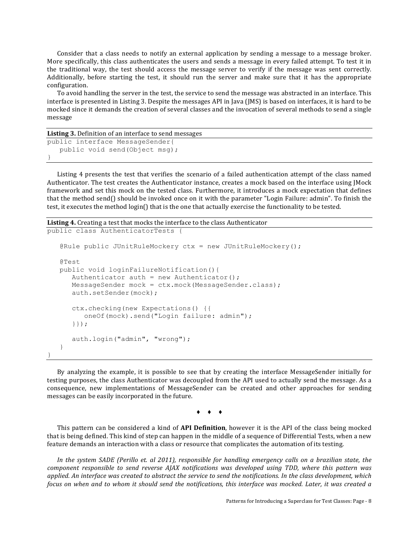Consider that a class needs to notify an external application by sending a message to a message broker. More specifically, this class authenticates the users and sends a message in every failed attempt. To test it in the traditional way, the test should access the message server to verify if the message was sent correctly. Additionally, before starting the test, it should run the server and make sure that it has the appropriate configuration. 

To avoid handling the server in the test, the service to send the message was abstracted in an interface. This interface is presented in Listing 3. Despite the messages API in Java (JMS) is based on interfaces, it is hard to be mocked since it demands the creation of several classes and the invocation of several methods to send a single message

```
Listing 3. Definition of an interface to send messages
public interface MessageSender{
    public void send(Object msg);
}
```
Listing 4 presents the test that verifies the scenario of a failed authentication attempt of the class named Authenticator. The test creates the Authenticator instance, creates a mock based on the interface using JMock framework and set this mock on the tested class. Furthermore, it introduces a mock expectation that defines that the method send() should be invoked once on it with the parameter "Login Failure: admin". To finish the test, it executes the method login() that is the one that actually exercise the functionality to be tested.

```
Listing 4. Creating a test that mocks the interface to the class Authenticator
```
}

```
public class AuthenticatorTests {
    @Rule public JUnitRuleMockery ctx = new JUnitRuleMockery();
   @Test
   public void loginFailureNotification(){
      Authenticator auth = new Authenticator();
       MessageSender mock = ctx.mock(MessageSender.class);
      auth.setSender(mock);
      ctx.checking(new Expectations() {{
         oneOf(mock).send("Login failure: admin");
      }});
      auth.login("admin", "wrong");
    }
```
By analyzing the example, it is possible to see that by creating the interface MessageSender initially for testing purposes, the class Authenticator was decoupled from the API used to actually send the message. As a consequence, new implementations of MessageSender can be created and other approaches for sending messages can be easily incorporated in the future.

 $\rightarrow$   $\rightarrow$   $\rightarrow$ 

This pattern can be considered a kind of **API Definition**, however it is the API of the class being mocked that is being defined. This kind of step can happen in the middle of a sequence of Differential Tests, when a new feature demands an interaction with a class or resource that complicates the automation of its testing.

In the system SADE (Perillo et. al 2011), responsible for handling emergency calls on a brazilian state, the *component responsible to send reverse AJAX notifications was developed using TDD, where this pattern was applied. An interface was created to abstract the service to send the notifications. In the class development, which focus* on when and to whom it should send the notifications, this interface was mocked. Later, it was created a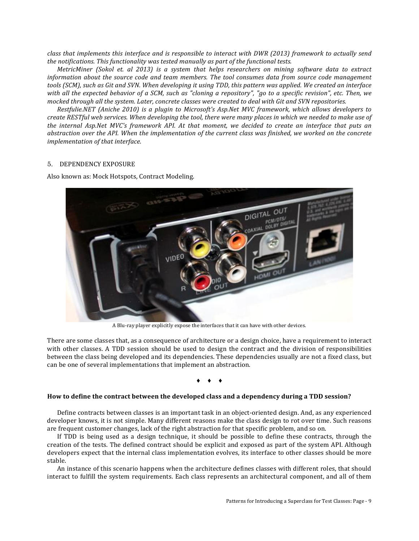*class* that implements this interface and is responsible to interact with DWR (2013) framework to actually send *the notifications. This functionality was tested manually as part of the functional tests.* 

*MetricMiner* (Sokol et. al 2013) is a system that helps researchers on mining software data to extract *information about the source code and team members. The tool consumes data from source code management* tools (SCM), such as Git and SVN. When developing it using TDD, this pattern was applied. We created an interface with all the expected behavior of a SCM, such as "cloning a repository", "go to a specific revision", etc. Then, we *mocked through all the system. Later, concrete classes were created to deal with Git and SVN repositories.* 

*Restfulie.NET* (Aniche 2010) is a plugin to Microsoft's Asp.Net MVC framework, which allows developers to *create* RESTful web services. When developing the tool, there were many places in which we needed to make use of the internal Asp.Net MVC's framework API. At that moment, we decided to create an interface that puts an abstraction over the API. When the implementation of the current class was finished, we worked on the concrete *implementation of that interface.* 

## 5. DEPENDENCY EXPOSURE

Also known as: Mock Hotspots, Contract Modeling.



A Blu-ray player explicitly expose the interfaces that it can have with other devices.

There are some classes that, as a consequence of architecture or a design choice, have a requirement to interact with other classes. A TDD session should be used to design the contract and the division of responsibilities between the class being developed and its dependencies. These dependencies usually are not a fixed class, but can be one of several implementations that implement an abstraction.

 $\bullet$   $\bullet$   $\bullet$   $\bullet$ 

## How to define the contract between the developed class and a dependency during a TDD session?

Define contracts between classes is an important task in an object-oriented design. And, as any experienced developer knows, it is not simple. Many different reasons make the class design to rot over time. Such reasons are frequent customer changes, lack of the right abstraction for that specific problem, and so on.

If TDD is being used as a design technique, it should be possible to define these contracts, through the creation of the tests. The defined contract should be explicit and exposed as part of the system API. Although developers expect that the internal class implementation evolves, its interface to other classes should be more stable. 

An instance of this scenario happens when the architecture defines classes with different roles, that should interact to fulfill the system requirements. Each class represents an architectural component, and all of them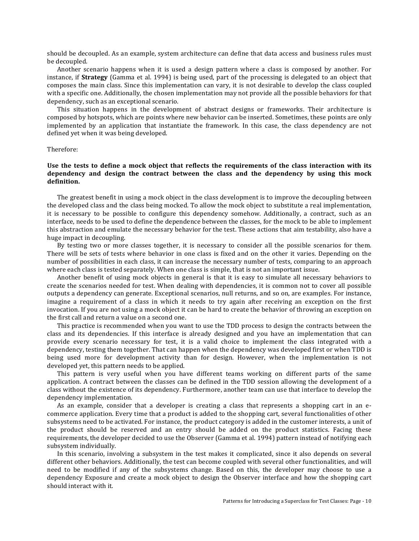should be decoupled. As an example, system architecture can define that data access and business rules must be decoupled.

Another scenario happens when it is used a design pattern where a class is composed by another. For instance, if **Strategy** (Gamma et al. 1994) is being used, part of the processing is delegated to an object that composes the main class. Since this implementation can vary, it is not desirable to develop the class coupled with a specific one. Additionally, the chosen implementation may not provide all the possible behaviors for that dependency, such as an exceptional scenario.

This situation happens in the development of abstract designs or frameworks. Their architecture is composed by hotspots, which are points where new behavior can be inserted. Sometimes, these points are only implemented by an application that instantiate the framework. In this case, the class dependency are not defined yet when it was being developed.

#### Therefore:

## Use the tests to define a mock object that reflects the requirements of the class interaction with its dependency and design the contract between the class and the dependency by using this mock **definition.**

The greatest benefit in using a mock object in the class development is to improve the decoupling between the developed class and the class being mocked. To allow the mock object to substitute a real implementation, it is necessary to be possible to configure this dependency somehow. Additionally, a contract, such as an interface, needs to be used to define the dependence between the classes, for the mock to be able to implement this abstraction and emulate the necessary behavior for the test. These actions that aim testability, also have a huge impact in decoupling.

By testing two or more classes together, it is necessary to consider all the possible scenarios for them. There will be sets of tests where behavior in one class is fixed and on the other it varies. Depending on the number of possibilities in each class, it can increase the necessary number of tests, comparing to an approach where each class is tested separately. When one class is simple, that is not an important issue.

Another benefit of using mock objects in general is that it is easy to simulate all necessary behaviors to create the scenarios needed for test. When dealing with dependencies, it is common not to cover all possible outputs a dependency can generate. Exceptional scenarios, null returns, and so on, are examples. For instance, imagine a requirement of a class in which it needs to try again after receiving an exception on the first invocation. If you are not using a mock object it can be hard to create the behavior of throwing an exception on the first call and return a value on a second one.

This practice is recommended when you want to use the TDD process to design the contracts between the class and its dependencies. If this interface is already designed and you have an implementation that can provide every scenario necessary for test, it is a valid choice to implement the class integrated with a dependency, testing them together. That can happen when the dependency was developed first or when TDD is being used more for development activity than for design. However, when the implementation is not developed yet, this pattern needs to be applied.

This pattern is very useful when you have different teams working on different parts of the same application. A contract between the classes can be defined in the TDD session allowing the development of a class without the existence of its dependency. Furthermore, another team can use that interface to develop the dependency implementation.

As an example, consider that a developer is creating a class that represents a shopping cart in an ecommerce application. Every time that a product is added to the shopping cart, several functionalities of other subsystems need to be activated. For instance, the product category is added in the customer interests, a unit of the product should be reserved and an entry should be added on the product statistics. Facing these requirements, the developer decided to use the Observer (Gamma et al. 1994) pattern instead of notifying each subsystem individually.

In this scenario, involving a subsystem in the test makes it complicated, since it also depends on several different other behaviors. Additionally, the test can become coupled with several other functionalities, and will need to be modified if any of the subsystems change. Based on this, the developer may choose to use a dependency Exposure and create a mock object to design the Observer interface and how the shopping cart should interact with it.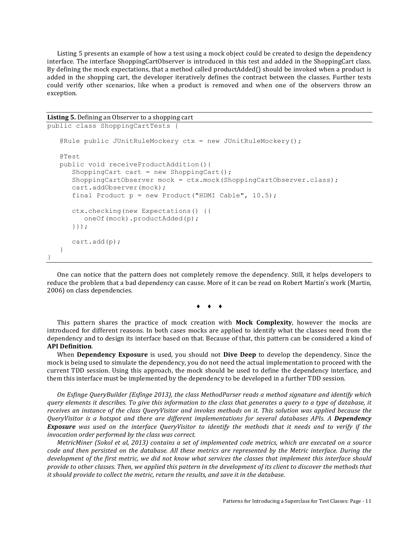Listing 5 presents an example of how a test using a mock object could be created to design the dependency interface. The interface ShoppingCartObserver is introduced in this test and added in the ShoppingCart class. By defining the mock expectations, that a method called productAdded $\iint$  should be invoked when a product is added in the shopping cart, the developer iteratively defines the contract between the classes. Further tests could verify other scenarios, like when a product is removed and when one of the observers throw an exception. 

```
Listing 5. Defining an Observer to a shopping cart
```
}

```
public class ShoppingCartTests {
    @Rule public JUnitRuleMockery ctx = new JUnitRuleMockery();
    @Test
    public void receiveProductAddition(){
      ShoppingCart cart = new ShoppingCart();
       ShoppingCartObserver mock = ctx.mock(ShoppingCartObserver.class);
      cart.addObserver(mock);
      final Product p = new Product("HDMI Cable", 10.5);ctx.checking(new Expectations() {{
         oneOf(mock).productAdded(p);
      }});
      cart.add(p);
    }
```
One can notice that the pattern does not completely remove the dependency. Still, it helps developers to reduce the problem that a bad dependency can cause. More of it can be read on Robert Martin's work (Martin, 2006) on class dependencies.

 $\bullet$   $\bullet$   $\bullet$   $\bullet$ 

This pattern shares the practice of mock creation with **Mock Complexity**, however the mocks are introduced for different reasons. In both cases mocks are applied to identify what the classes need from the dependency and to design its interface based on that. Because of that, this pattern can be considered a kind of **API Definition**.

When **Dependency Exposure** is used, you should not **Dive Deep** to develop the dependency. Since the mock is being used to simulate the dependency, you do not need the actual implementation to proceed with the current TDD session. Using this approach, the mock should be used to define the dependency interface, and them this interface must be implemented by the dependency to be developed in a further TDD session.

*On* Esfinge QueryBuilder (Esfinge 2013), the class MethodParser reads a method signature and identify which *query* elements it describes. To give this information to the class that generates a query to a type of database, it receives an instance of the class QueryVisitor and invokes methods on it. This solution was applied because the *QueryVisitor is a hotspot and there are different implementations for several databases APIs. A Dependency* **Exposure** was used on the interface QueryVisitor to identify the methods that it needs and to verify if the *invocation order performed by the class was correct.* 

*MetricMiner (Sokol et al, 2013) contains a set of implemented code metrics, which are executed on a source code* and then persisted on the database. All these metrics are represented by the Metric interface. During the *development of the first metric, we did not know what services the classes that implement this interface should* provide to other classes. Then, we applied this pattern in the development of its client to discover the methods that *it* should provide to collect the metric, return the results, and save it in the database.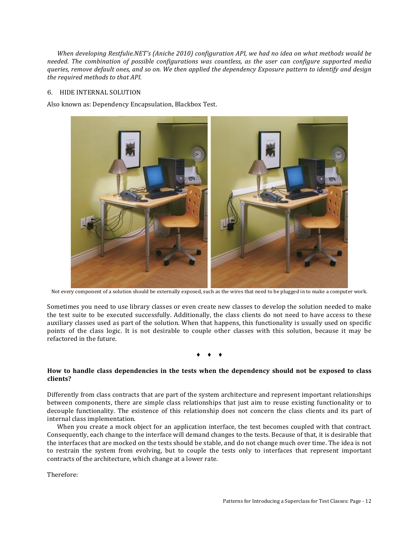*When developing Restfulie.NET's (Aniche 2010) configuration API, we had no idea on what methods would be needed.* The combination of possible configurations was countless, as the user can configure supported media *queries, remove default ones, and so on. We then applied the dependency Exposure pattern to identify and design the required methods to that API.* 

# 6. HIDE INTERNAL SOLUTION

Also known as: Dependency Encapsulation, Blackbox Test.



Not every component of a solution should be externally exposed, such as the wires that need to be plugged in to make a computer work.

Sometimes you need to use library classes or even create new classes to develop the solution needed to make the test suite to be executed successfully. Additionally, the class clients do not need to have access to these auxiliary classes used as part of the solution. When that happens, this functionality is usually used on specific points of the class logic. It is not desirable to couple other classes with this solution, because it may be refactored in the future.

 $\bullet$   $\bullet$   $\bullet$   $\bullet$ 

## How to handle class dependencies in the tests when the dependency should not be exposed to class **clients?**

Differently from class contracts that are part of the system architecture and represent important relationships between components, there are simple class relationships that just aim to reuse existing functionality or to decouple functionality. The existence of this relationship does not concern the class clients and its part of internal class implementation.

When you create a mock object for an application interface, the test becomes coupled with that contract. Consequently, each change to the interface will demand changes to the tests. Because of that, it is desirable that the interfaces that are mocked on the tests should be stable, and do not change much over time. The idea is not to restrain the system from evolving, but to couple the tests only to interfaces that represent important contracts of the architecture, which change at a lower rate.

Therefore: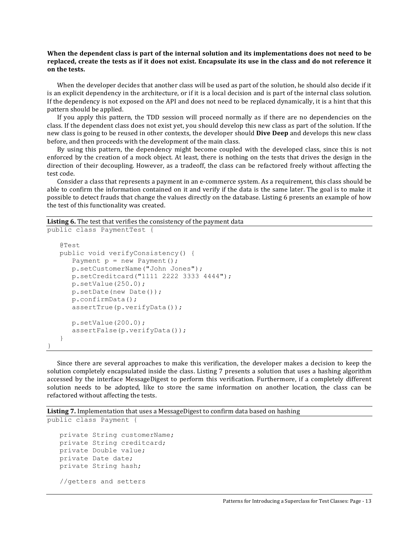# When the dependent class is part of the internal solution and its implementations does not need to be replaced, create the tests as if it does not exist. Encapsulate its use in the class and do not reference it **on the tests.**

When the developer decides that another class will be used as part of the solution, he should also decide if it is an explicit dependency in the architecture, or if it is a local decision and is part of the internal class solution. If the dependency is not exposed on the API and does not need to be replaced dynamically, it is a hint that this pattern should be applied.

If you apply this pattern, the TDD session will proceed normally as if there are no dependencies on the class. If the dependent class does not exist yet, you should develop this new class as part of the solution. If the new class is going to be reused in other contexts, the developer should **Dive Deep** and develops this new class before, and then proceeds with the development of the main class.

By using this pattern, the dependency might become coupled with the developed class, since this is not enforced by the creation of a mock object. At least, there is nothing on the tests that drives the design in the direction of their decoupling. However, as a tradeoff, the class can be refactored freely without affecting the test code.

Consider a class that represents a payment in an e-commerce system. As a requirement, this class should be able to confirm the information contained on it and verify if the data is the same later. The goal is to make it possible to detect frauds that change the values directly on the database. Listing 6 presents an example of how the test of this functionality was created.

**Listing 6.** The test that verifies the consistency of the payment data

```
public class PaymentTest {
   @Test
   public void verifyConsistency() {
      Payment p = new Payment();
      p.setCustomerName("John Jones");
      p.setCreditcard("1111 2222 3333 4444");
      p.setValue(250.0);
      p.setDate(new Date());
      p.confirmData();
      assertTrue(p.verifyData());
      p.setValue(200.0);
      assertFalse(p.verifyData());
   }
}
```
Since there are several approaches to make this verification, the developer makes a decision to keep the solution completely encapsulated inside the class. Listing 7 presents a solution that uses a hashing algorithm accessed by the interface MessageDigest to perform this verification. Furthermore, if a completely different solution needs to be adopted, like to store the same information on another location, the class can be refactored without affecting the tests.

**Listing 7.** Implementation that uses a MessageDigest to confirm data based on hashing

```
public class Payment {
  private String customerName;
  private String creditcard;
  private Double value;
  private Date date;
  private String hash;
  //getters and setters
```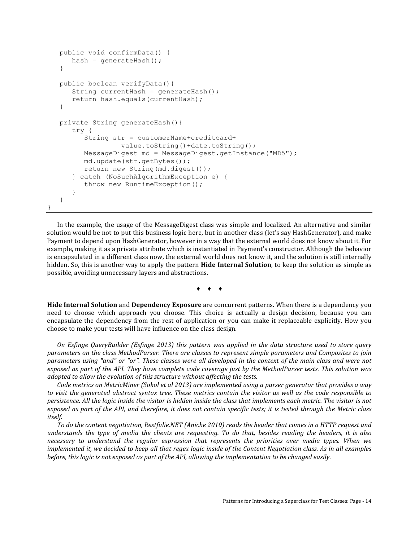```
public void confirmData() {
   hash = generateHash();
}
public boolean verifyData(){
   String currentHash = generateHash();
   return hash.equals(currentHash);
}
private String generateHash(){
   try {
      String str = customerName+creditcard+
               value.toString()+date.toString();
      MessageDigest md = MessageDigest.getInstance("MD5");
      md.update(str.getBytes());
      return new String(md.digest());
   } catch (NoSuchAlgorithmException e) {
      throw new RuntimeException();
   }
}
```
}

In the example, the usage of the MessageDigest class was simple and localized. An alternative and similar solution would be not to put this business logic here, but in another class (let's say HashGenerator), and make Payment to depend upon HashGenerator, however in a way that the external world does not know about it. For example, making it as a private attribute which is instantiated in Payment's constructor. Although the behavior is encapsulated in a different class now, the external world does not know it, and the solution is still internally hidden. So, this is another way to apply the pattern **Hide Internal Solution**, to keep the solution as simple as possible, avoiding unnecessary layers and abstractions.

 $\bullet$   $\bullet$ 

**Hide Internal Solution** and Dependency Exposure are concurrent patterns. When there is a dependency you need to choose which approach you choose. This choice is actually a design decision, because you can encapsulate the dependency from the rest of application or you can make it replaceable explicitly. How you choose to make your tests will have influence on the class design.

*On Esfinge QueryBuilder (Esfinge 2013)* this pattern was applied in the data structure used to store query *parameters* on the class MethodParser. There are classes to represent simple parameters and Composites to join parameters using "and" or "or". These classes were all developed in the context of the main class and were not exposed as part of the API. They have complete code coverage just by the MethodParser tests. This solution was *adopted to allow the evolution of this structure without affecting the tests.* 

*Code* metrics on MetricMiner (Sokol et al 2013) are implemented using a parser generator that provides a way to visit the generated abstract syntax tree. These metrics contain the visitor as well as the code responsible to persistence. All the logic inside the visitor is hidden inside the class that implements each metric. The visitor is not exposed as part of the API, and therefore, it does not contain specific tests; it is tested through the Metric class *itself.*

To do the content negotiation, Restfulie.NET (Aniche 2010) reads the header that comes in a HTTP request and understands the type of media the clients are requesting. To do that, besides reading the headers, it is also necessary to understand the regular expression that represents the priorities over media types. When we *implemented* it, we decided to keep all that regex logic inside of the Content Negotiation class. As in all examples *before, this logic is not exposed as part of the API, allowing the implementation to be changed easily.*